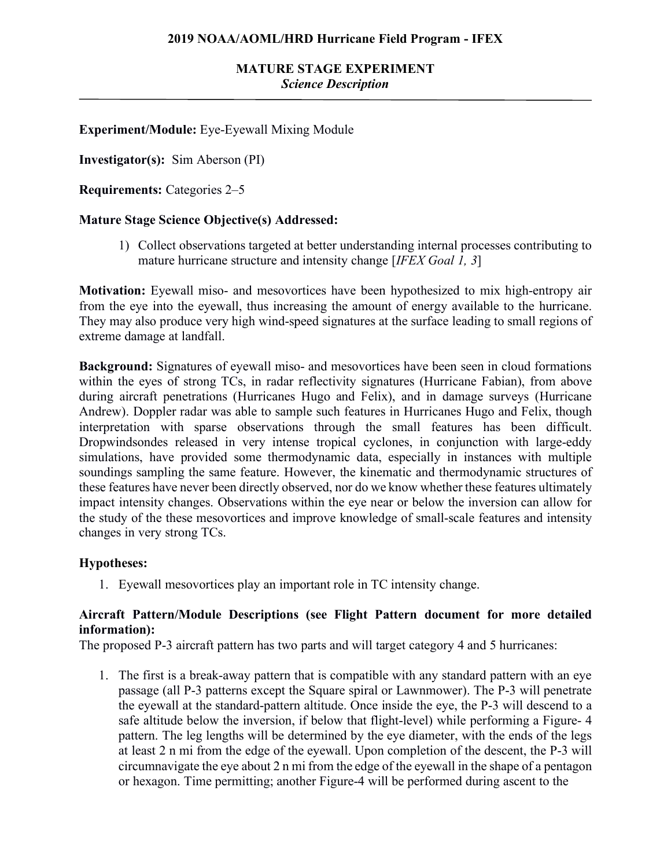## **Experiment/Module:** Eye-Eyewall Mixing Module

**Investigator(s):** Sim Aberson (PI)

**Requirements:** Categories 2–5

### **Mature Stage Science Objective(s) Addressed:**

1) Collect observations targeted at better understanding internal processes contributing to mature hurricane structure and intensity change [*IFEX Goal 1, 3*]

**Motivation:** Eyewall miso- and mesovortices have been hypothesized to mix high-entropy air from the eye into the eyewall, thus increasing the amount of energy available to the hurricane. They may also produce very high wind-speed signatures at the surface leading to small regions of extreme damage at landfall.

**Background:** Signatures of eyewall miso- and mesovortices have been seen in cloud formations within the eyes of strong TCs, in radar reflectivity signatures (Hurricane Fabian), from above during aircraft penetrations (Hurricanes Hugo and Felix), and in damage surveys (Hurricane Andrew). Doppler radar was able to sample such features in Hurricanes Hugo and Felix, though interpretation with sparse observations through the small features has been difficult. Dropwindsondes released in very intense tropical cyclones, in conjunction with large-eddy simulations, have provided some thermodynamic data, especially in instances with multiple soundings sampling the same feature. However, the kinematic and thermodynamic structures of these features have never been directly observed, nor do we know whether these features ultimately impact intensity changes. Observations within the eye near or below the inversion can allow for the study of the these mesovortices and improve knowledge of small-scale features and intensity changes in very strong TCs.

#### **Hypotheses:**

1. Eyewall mesovortices play an important role in TC intensity change.

### **Aircraft Pattern/Module Descriptions (see Flight Pattern document for more detailed information):**

The proposed P-3 aircraft pattern has two parts and will target category 4 and 5 hurricanes:

1. The first is a break-away pattern that is compatible with any standard pattern with an eye passage (all P-3 patterns except the Square spiral or Lawnmower). The P-3 will penetrate the eyewall at the standard-pattern altitude. Once inside the eye, the P-3 will descend to a safe altitude below the inversion, if below that flight-level) while performing a Figure- 4 pattern. The leg lengths will be determined by the eye diameter, with the ends of the legs at least 2 n mi from the edge of the eyewall. Upon completion of the descent, the P-3 will circumnavigate the eye about 2 n mi from the edge of the eyewall in the shape of a pentagon or hexagon. Time permitting; another Figure-4 will be performed during ascent to the